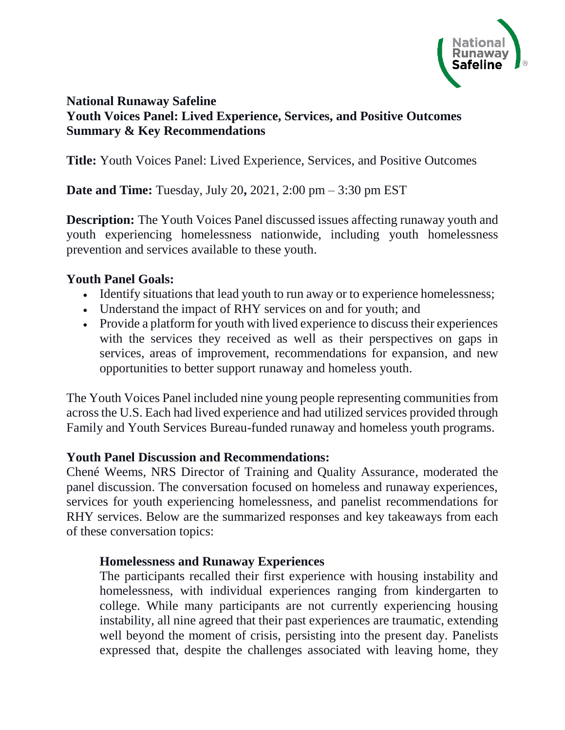

# **National Runaway Safeline Youth Voices Panel: Lived Experience, Services, and Positive Outcomes Summary & Key Recommendations**

**Title:** Youth Voices Panel: Lived Experience, Services, and Positive Outcomes

**Date and Time:** Tuesday, July 20**,** 2021, 2:00 pm – 3:30 pm EST

**Description:** The Youth Voices Panel discussed issues affecting runaway youth and youth experiencing homelessness nationwide, including youth homelessness prevention and services available to these youth.

## **Youth Panel Goals:**

- Identify situations that lead youth to run away or to experience homelessness;
- Understand the impact of RHY services on and for youth; and
- Provide a platform for youth with lived experience to discuss their experiences with the services they received as well as their perspectives on gaps in services, areas of improvement, recommendations for expansion, and new opportunities to better support runaway and homeless youth.

The Youth Voices Panel included nine young people representing communities from across the U.S. Each had lived experience and had utilized services provided through Family and Youth Services Bureau-funded runaway and homeless youth programs.

#### **Youth Panel Discussion and Recommendations:**

Chené Weems, NRS Director of Training and Quality Assurance, moderated the panel discussion. The conversation focused on homeless and runaway experiences, services for youth experiencing homelessness, and panelist recommendations for RHY services. Below are the summarized responses and key takeaways from each of these conversation topics:

#### **Homelessness and Runaway Experiences**

The participants recalled their first experience with housing instability and homelessness, with individual experiences ranging from kindergarten to college. While many participants are not currently experiencing housing instability, all nine agreed that their past experiences are traumatic, extending well beyond the moment of crisis, persisting into the present day. Panelists expressed that, despite the challenges associated with leaving home, they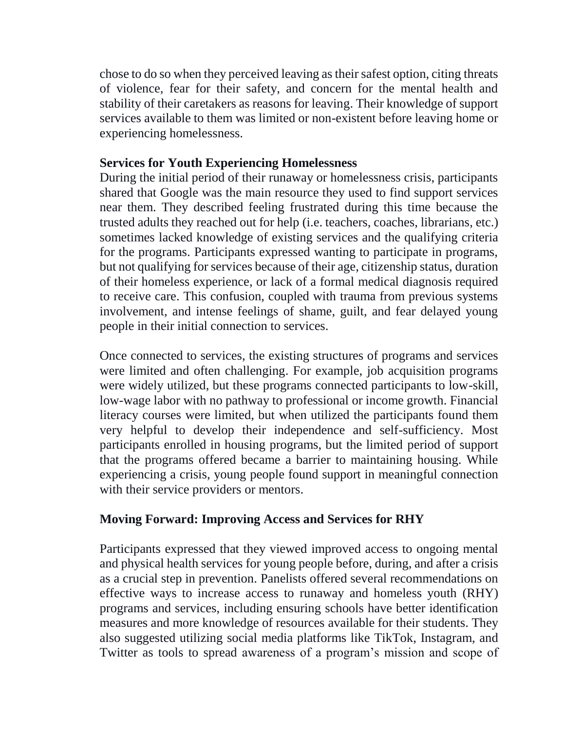chose to do so when they perceived leaving as their safest option, citing threats of violence, fear for their safety, and concern for the mental health and stability of their caretakers as reasons for leaving. Their knowledge of support services available to them was limited or non-existent before leaving home or experiencing homelessness.

## **Services for Youth Experiencing Homelessness**

During the initial period of their runaway or homelessness crisis, participants shared that Google was the main resource they used to find support services near them. They described feeling frustrated during this time because the trusted adults they reached out for help (i.e. teachers, coaches, librarians, etc.) sometimes lacked knowledge of existing services and the qualifying criteria for the programs. Participants expressed wanting to participate in programs, but not qualifying for services because of their age, citizenship status, duration of their homeless experience, or lack of a formal medical diagnosis required to receive care. This confusion, coupled with trauma from previous systems involvement, and intense feelings of shame, guilt, and fear delayed young people in their initial connection to services.

Once connected to services, the existing structures of programs and services were limited and often challenging. For example, job acquisition programs were widely utilized, but these programs connected participants to low-skill, low-wage labor with no pathway to professional or income growth. Financial literacy courses were limited, but when utilized the participants found them very helpful to develop their independence and self-sufficiency. Most participants enrolled in housing programs, but the limited period of support that the programs offered became a barrier to maintaining housing. While experiencing a crisis, young people found support in meaningful connection with their service providers or mentors.

## **Moving Forward: Improving Access and Services for RHY**

Participants expressed that they viewed improved access to ongoing mental and physical health services for young people before, during, and after a crisis as a crucial step in prevention. Panelists offered several recommendations on effective ways to increase access to runaway and homeless youth (RHY) programs and services, including ensuring schools have better identification measures and more knowledge of resources available for their students. They also suggested utilizing social media platforms like TikTok, Instagram, and Twitter as tools to spread awareness of a program's mission and scope of